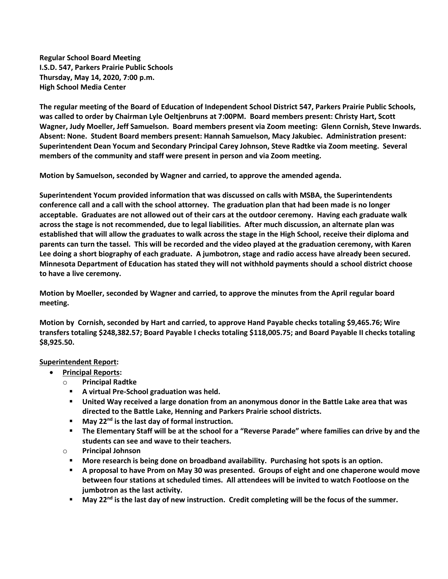**Regular School Board Meeting I.S.D. 547, Parkers Prairie Public Schools Thursday, May 14, 2020, 7:00 p.m. High School Media Center**

**The regular meeting of the Board of Education of Independent School District 547, Parkers Prairie Public Schools, was called to order by Chairman Lyle Oeltjenbruns at 7:00PM. Board members present: Christy Hart, Scott Wagner, Judy Moeller, Jeff Samuelson. Board members present via Zoom meeting: Glenn Cornish, Steve Inwards. Absent: None. Student Board members present: Hannah Samuelson, Macy Jakubiec. Administration present: Superintendent Dean Yocum and Secondary Principal Carey Johnson, Steve Radtke via Zoom meeting. Several members of the community and staff were present in person and via Zoom meeting.** 

**Motion by Samuelson, seconded by Wagner and carried, to approve the amended agenda.**

**Superintendent Yocum provided information that was discussed on calls with MSBA, the Superintendents conference call and a call with the school attorney. The graduation plan that had been made is no longer acceptable. Graduates are not allowed out of their cars at the outdoor ceremony. Having each graduate walk across the stage is not recommended, due to legal liabilities. After much discussion, an alternate plan was established that will allow the graduates to walk across the stage in the High School, receive their diploma and parents can turn the tassel. This will be recorded and the video played at the graduation ceremony, with Karen Lee doing a short biography of each graduate. A jumbotron, stage and radio access have already been secured. Minnesota Department of Education has stated they will not withhold payments should a school district choose to have a live ceremony.**

**Motion by Moeller, seconded by Wagner and carried, to approve the minutes from the April regular board meeting.**

**Motion by Cornish, seconded by Hart and carried, to approve Hand Payable checks totaling \$9,465.76; Wire transfers totaling \$248,382.57; Board Payable I checks totaling \$118,005.75; and Board Payable II checks totaling \$8,925.50.** 

## **Superintendent Report:**

- **Principal Reports:** 
	- o **Principal Radtke**
		- **A virtual Pre-School graduation was held.**
		- **United Way received a large donation from an anonymous donor in the Battle Lake area that was directed to the Battle Lake, Henning and Parkers Prairie school districts.**
		- **May 22nd is the last day of formal instruction.**
		- **The Elementary Staff will be at the school for a "Reverse Parade" where families can drive by and the students can see and wave to their teachers.**
	- o **Principal Johnson**
		- **More research is being done on broadband availability. Purchasing hot spots is an option.**
		- **A proposal to have Prom on May 30 was presented. Groups of eight and one chaperone would move between four stations at scheduled times. All attendees will be invited to watch Footloose on the jumbotron as the last activity.**
		- **May 22nd is the last day of new instruction. Credit completing will be the focus of the summer.**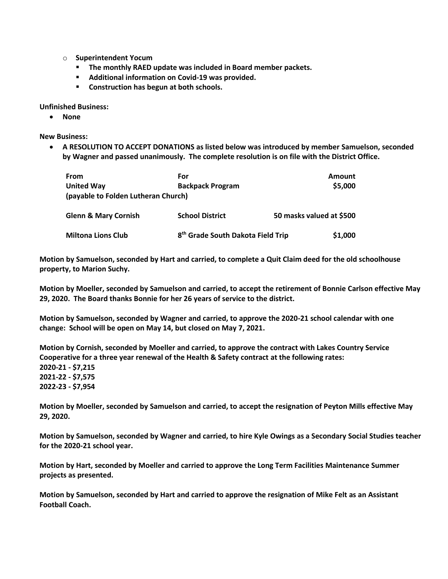- o **Superintendent Yocum**
	- **The monthly RAED update was included in Board member packets.**
	- **Additional information on Covid-19 was provided.**
	- **Construction has begun at both schools.**

**Unfinished Business:**

**None**

**New Business:**

 **A RESOLUTION TO ACCEPT DONATIONS as listed below was introduced by member Samuelson, seconded by Wagner and passed unanimously. The complete resolution is on file with the District Office.** 

| From                                | For                                           |  | <b>Amount</b>            |
|-------------------------------------|-----------------------------------------------|--|--------------------------|
| <b>United Way</b>                   | <b>Backpack Program</b>                       |  | \$5,000                  |
| (payable to Folden Lutheran Church) |                                               |  |                          |
| Glenn & Mary Cornish                | <b>School District</b>                        |  | 50 masks valued at \$500 |
| <b>Miltona Lions Club</b>           | 8 <sup>th</sup> Grade South Dakota Field Trip |  | \$1,000                  |

**Motion by Samuelson, seconded by Hart and carried, to complete a Quit Claim deed for the old schoolhouse property, to Marion Suchy.**

**Motion by Moeller, seconded by Samuelson and carried, to accept the retirement of Bonnie Carlson effective May 29, 2020. The Board thanks Bonnie for her 26 years of service to the district.** 

**Motion by Samuelson, seconded by Wagner and carried, to approve the 2020-21 school calendar with one change: School will be open on May 14, but closed on May 7, 2021.**

**Motion by Cornish, seconded by Moeller and carried, to approve the contract with Lakes Country Service Cooperative for a three year renewal of the Health & Safety contract at the following rates: 2020-21 - \$7,215 2021-22 - \$7,575 2022-23 - \$7,954**

**Motion by Moeller, seconded by Samuelson and carried, to accept the resignation of Peyton Mills effective May 29, 2020.**

**Motion by Samuelson, seconded by Wagner and carried, to hire Kyle Owings as a Secondary Social Studies teacher for the 2020-21 school year.**

**Motion by Hart, seconded by Moeller and carried to approve the Long Term Facilities Maintenance Summer projects as presented.**

**Motion by Samuelson, seconded by Hart and carried to approve the resignation of Mike Felt as an Assistant Football Coach.**